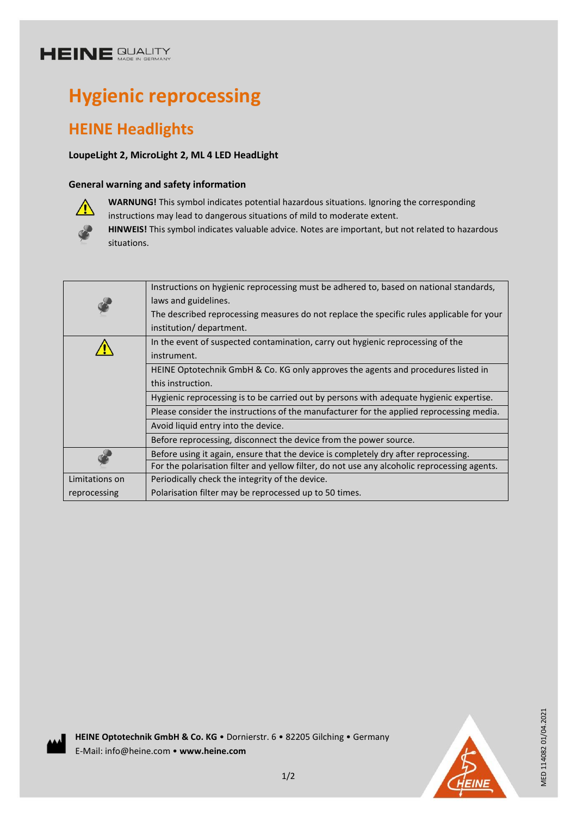# **HEINE SUALITY**

# **Hygienic reprocessing**

## **HEINE Headlights**

### **LoupeLight 2, MicroLight 2, ML 4 LED HeadLight**

### **General warning and safety information**



**WARNUNG!** This symbol indicates potential hazardous situations. Ignoring the corresponding instructions may lead to dangerous situations of mild to moderate extent.

**HINWEIS!** This symbol indicates valuable advice. Notes are important, but not related to hazardous situations.

|                | Instructions on hygienic reprocessing must be adhered to, based on national standards,       |
|----------------|----------------------------------------------------------------------------------------------|
|                | laws and guidelines.                                                                         |
|                | The described reprocessing measures do not replace the specific rules applicable for your    |
|                | institution/ department.                                                                     |
|                | In the event of suspected contamination, carry out hygienic reprocessing of the              |
|                | instrument.                                                                                  |
|                | HEINE Optotechnik GmbH & Co. KG only approves the agents and procedures listed in            |
|                | this instruction.                                                                            |
|                | Hygienic reprocessing is to be carried out by persons with adequate hygienic expertise.      |
|                | Please consider the instructions of the manufacturer for the applied reprocessing media.     |
|                | Avoid liquid entry into the device.                                                          |
|                | Before reprocessing, disconnect the device from the power source.                            |
|                | Before using it again, ensure that the device is completely dry after reprocessing.          |
|                | For the polarisation filter and yellow filter, do not use any alcoholic reprocessing agents. |
| Limitations on | Periodically check the integrity of the device.                                              |
| reprocessing   | Polarisation filter may be reprocessed up to 50 times.                                       |
|                |                                                                                              |





MED 114082 01/04.2021

MED 114082 01/04.2021